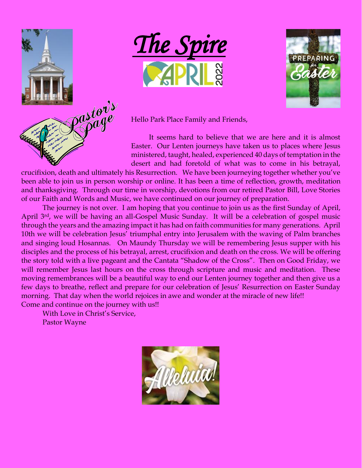





Hello Park Place Family and Friends,

It seems hard to believe that we are here and it is almost Easter. Our Lenten journeys have taken us to places where Jesus ministered, taught, healed, experienced 40 days of temptation in the desert and had foretold of what was to come in his betrayal,

crucifixion, death and ultimately his Resurrection. We have been journeying together whether you've been able to join us in person worship or online. It has been a time of reflection, growth, meditation and thanksgiving. Through our time in worship, devotions from our retired Pastor Bill, Love Stories of our Faith and Words and Music, we have continued on our journey of preparation.

The journey is not over. I am hoping that you continue to join us as the first Sunday of April, April 3<sup>rd</sup>, we will be having an all-Gospel Music Sunday. It will be a celebration of gospel music through the years and the amazing impact it has had on faith communities for many generations. April 10th we will be celebration Jesus' triumphal entry into Jerusalem with the waving of Palm branches and singing loud Hosannas. On Maundy Thursday we will be remembering Jesus supper with his disciples and the process of his betrayal, arrest, crucifixion and death on the cross. We will be offering the story told with a live pageant and the Cantata "Shadow of the Cross". Then on Good Friday, we will remember Jesus last hours on the cross through scripture and music and meditation. These moving remembrances will be a beautiful way to end our Lenten journey together and then give us a few days to breathe, reflect and prepare for our celebration of Jesus' Resurrection on Easter Sunday morning. That day when the world rejoices in awe and wonder at the miracle of new life!! Come and continue on the journey with us!!

With Love in Christ's Service, Pastor Wayne

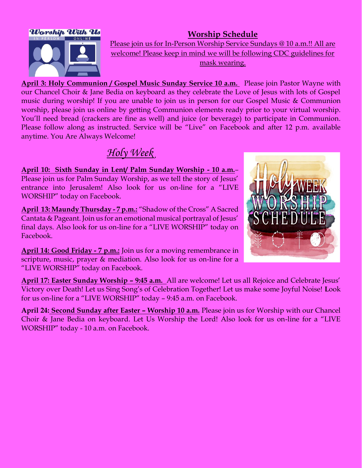

**Worship Schedule** Please join us for In-Person Worship Service Sundays @ 10 a.m.!! All are welcome! Please keep in mind we will be following CDC guidelines for mask wearing.

**April 3: Holy Communion / Gospel Music Sunday Service 10 a.m.** Please join Pastor Wayne with our Chancel Choir & Jane Bedia on keyboard as they celebrate the Love of Jesus with lots of Gospel music during worship! If you are unable to join us in person for our Gospel Music & Communion worship, please join us online by getting Communion elements ready prior to your virtual worship. You'll need bread (crackers are fine as well) and juice (or beverage) to participate in Communion. Please follow along as instructed. Service will be "Live" on Facebook and after 12 p.m. available anytime. You Are Always Welcome!

# *Holy Week*

**April 10: Sixth Sunday in Lent/ Palm Sunday Worship - 10 a.m.***–* Please join us for Palm Sunday Worship, as we tell the story of Jesus' entrance into Jerusalem! Also look for us on-line for a "LIVE WORSHIP" today on Facebook.

**April 13: Maundy Thursday - 7 p.m.:** "Shadow of the Cross" A Sacred Cantata & Pageant. Join us for an emotional musical portrayal of Jesus' final days. Also look for us on-line for a "LIVE WORSHIP" today on Facebook.

**April 14: Good Friday - 7 p.m.:** Join us for a moving remembrance in scripture, music, prayer & mediation. Also look for us on-line for a "LIVE WORSHIP" today on Facebook.



**April 17: Easter Sunday Worship – 9:45 a.m.** All are welcome! Let us all Rejoice and Celebrate Jesus' Victory over Death! Let us Sing Song's of Celebration Together! Let us make some Joyful Noise! **L**ook for us on-line for a "LIVE WORSHIP" today – 9:45 a.m. on Facebook.

**April 24: Second Sunday after Easter – Worship 10 a.m.** Please join us for Worship with our Chancel Choir & Jane Bedia on keyboard. Let Us Worship the Lord! Also look for us on-line for a "LIVE WORSHIP" today - 10 a.m. on Facebook.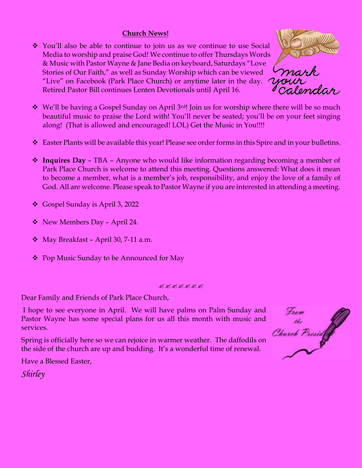#### **Church News!**

❖ You'll also be able to continue to join us as we continue to use Social Media to worship and praise God! We continue to offer Thursdays Words & Music with Pastor Wayne & Jane Bedia on keyboard, Saturdays "Love Stories of Our Faith," as well as Sunday Worship which can be viewed "Live" on Facebook (Park Place Church) or anytime later in the day. Retired Pastor Bill continues Lenten Devotionals until April 16.



- ❖ We'll be having a Gospel Sunday on April 3rd! Join us for worship where there will be so much beautiful music to praise the Lord with! You'll never be seated; you'll be on your feet singing along! (That is allowed and encouraged! LOL) Get the Music in You!!!!
- ❖ Easter Plants will be available this year! Please see order forms in this Spire and in your bulletins.
- ❖ **Inquires Day** TBA Anyone who would like information regarding becoming a member of Park Place Church is welcome to attend this meeting. Questions answered: What does it mean to become a member, what is a member's job, responsibility, and enjoy the love of a family of God. All are welcome. Please speak to Pastor Wayne if you are interested in attending a meeting.
- ❖ Gospel Sunday is April 3, 2022
- ❖ New Members Day April 24.
- $\triangleleft$  May Breakfast April 30, 7-11 a.m.
- ❖ Pop Music Sunday to be Announced for May

#### **QKAKAKA**

Dear Family and Friends of Park Place Church,

I hope to see everyone in April. We will have palms on Palm Sunday and Pastor Wayne has some special plans for us all this month with music and services.

Spring is officially here so we can rejoice in warmer weather. The daffodils on the side of the church are up and budding. It's a wonderful time of renewal.



Have a Blessed Easter,

*Shirley*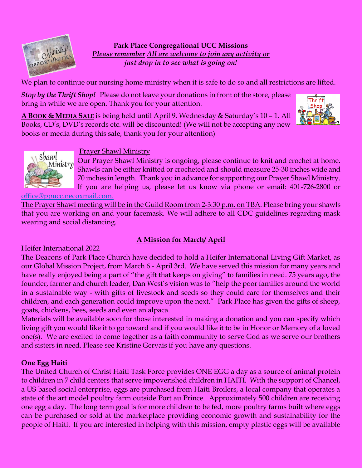

**Park Place Congregational UCC Missions** *Please remember All are welcome to join any activity or just drop in to see what is going on!*

We plan to continue our nursing home ministry when it is safe to do so and all restrictions are lifted.

*Stop by the Thrift Shop!* Please do not leave your donations in front of the store, please bring in while we are open. Thank you for your attention.

**A BOOK & MEDIA SALE** is being held until April 9. Wednesday & Saturday's 10 – 1. All Books, CD's, DVD's records etc. will be discounted! (We will not be accepting any new books or media during this sale, thank you for your attention)





#### Prayer Shawl Ministry

Our Prayer Shawl Ministry is ongoing, please continue to knit and crochet at home. Shawls can be either knitted or crocheted and should measure 25-30 inches wide and 70 inches in length. Thank you in advance for supporting our Prayer Shawl Ministry. If you are helping us, please let us know via phone or email: 401-726-2800 or

[office@ppucc.necoxmail.com.](mailto:office@ppucc.necoxmail.com)

The Prayer Shawl meeting will be in the Guild Room from 2-3:30 p.m. on TBA. Please bring your shawls that you are working on and your facemask. We will adhere to all CDC guidelines regarding mask wearing and social distancing.

## **A Mission for March/ April**

Heifer International 2022

The Deacons of Park Place Church have decided to hold a Heifer International Living Gift Market, as our Global Mission Project, from March 6 - April 3rd. We have served this mission for many years and have really enjoyed being a part of "the gift that keeps on giving" to families in need. 75 years ago, the founder, farmer and church leader, Dan West's vision was to "help the poor families around the world in a sustainable way - with gifts of livestock and seeds so they could care for themselves and their children, and each generation could improve upon the next." Park Place has given the gifts of sheep, goats, chickens, bees, seeds and even an alpaca.

Materials will be available soon for those interested in making a donation and you can specify which living gift you would like it to go toward and if you would like it to be in Honor or Memory of a loved one(s). We are excited to come together as a faith community to serve God as we serve our brothers and sisters in need. Please see Kristine Gervais if you have any questions.

#### **One Egg Haiti**

The United Church of Christ Haiti Task Force provides ONE EGG a day as a source of animal protein to children in 7 child centers that serve impoverished children in HAITI. With the support of Chancel, a US based social enterprise, eggs are purchased from Haiti Broilers, a local company that operates a state of the art model poultry farm outside Port au Prince. Approximately 500 children are receiving one egg a day. The long term goal is for more children to be fed, more poultry farms built where eggs can be purchased or sold at the marketplace providing economic growth and sustainability for the people of Haiti. If you are interested in helping with this mission, empty plastic eggs will be available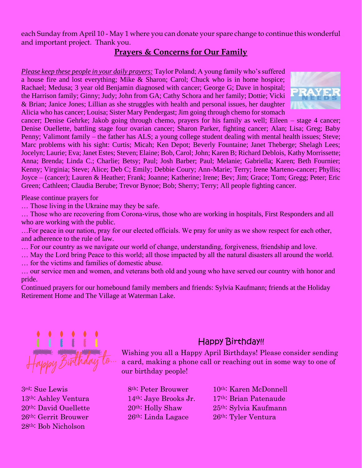each Sunday from April 10 - May 1 where you can donate your spare change to continue this wonderful and important project. Thank you.

### **Prayers & Concerns for Our Family**

*Please keep these people in your daily prayers:* Taylor Poland; A young family who's suffered a house fire and lost everything; Mike & Sharon; Carol; Chuck who is in home hospice; Rachael; Medusa; 3 year old Benjamin diagnosed with cancer; George G; Dave in hospital; the Harrison family; Ginny; Judy; John from GA; Cathy Schora and her family; Dottie; Vicki & Brian; Janice Jones; Lillian as she struggles with health and personal issues, her daughter Alicia who has cancer; Louisa; Sister Mary Pendergast; Jim going through chemo for stomach



cancer; Denise Gehrke; Jakob going through chemo, prayers for his family as well; Eileen – stage 4 cancer; Denise Ouellette, battling stage four ovarian cancer; Sharon Parker, fighting cancer; Alan; Lisa; Greg; Baby Penny; Valimont family – the father has ALS; a young college student dealing with mental health issues; Steve; Marc problems with his sight: Curtis; Micah; Ken Depot; Beverly Fountaine; Janet Theberge; Shelagh Lees; Jocelyn; Laurie; Eva; Janet Estes; Steven; Elaine; Bob, Carol; John; Karen B; Richard Deblois, Kathy Morrissette; Anna; Brenda; Linda C.; Charlie; Betsy; Paul; Josh Barber; Paul; Melanie; Gabriella; Karen; Beth Fournier; Kenny; Virginia; Steve; Alice; Deb C; Emily; Debbie Coury; Ann-Marie; Terry; Irene Marteno-cancer; Phyllis; Joyce – (cancer); Lauren & Heather; Frank; Joanne; Katherine; Irene; Bev; Jim; Grace; Tom; Gregg; Peter; Eric Green; Cathleen; Claudia Berube; Trevor Bynoe; Bob; Sherry; Terry; All people fighting cancer.

Please continue prayers for

… Those living in the Ukraine may they be safe.

… Those who are recovering from Corona-virus, those who are working in hospitals, First Responders and all who are working with the public.

…For peace in our nation, pray for our elected officials. We pray for unity as we show respect for each other, and adherence to the rule of law.

… For our country as we navigate our world of change, understanding, forgiveness, friendship and love.

… May the Lord bring Peace to this world; all those impacted by all the natural disasters all around the world.

… for the victims and families of domestic abuse.

… our service men and women, and veterans both old and young who have served our country with honor and pride.

Continued prayers for our homebound family members and friends: Sylvia Kaufmann; friends at the Holiday Retirement Home and The Village at Waterman Lake.



26th: Gerrit Brouwer 26th: Linda Lagace 26th: Tyler Ventura 28th: Bob Nicholson

# Happy Birthday!!

Wishing you all a Happy April Birthdays! Please consider sending a card, making a phone call or reaching out in some way to one of our birthday people!

3rd: Sue Lewis 8th: Peter Brouwer 10th: Karen McDonnell 13<sup>th:</sup> Ashley Ventura 14<sup>th:</sup> Jaye Brooks Jr. 17<sup>th:</sup> Brian Patenaude 20th: David Ouellette 20th: Holly Shaw 25th: Sylvia Kaufmann